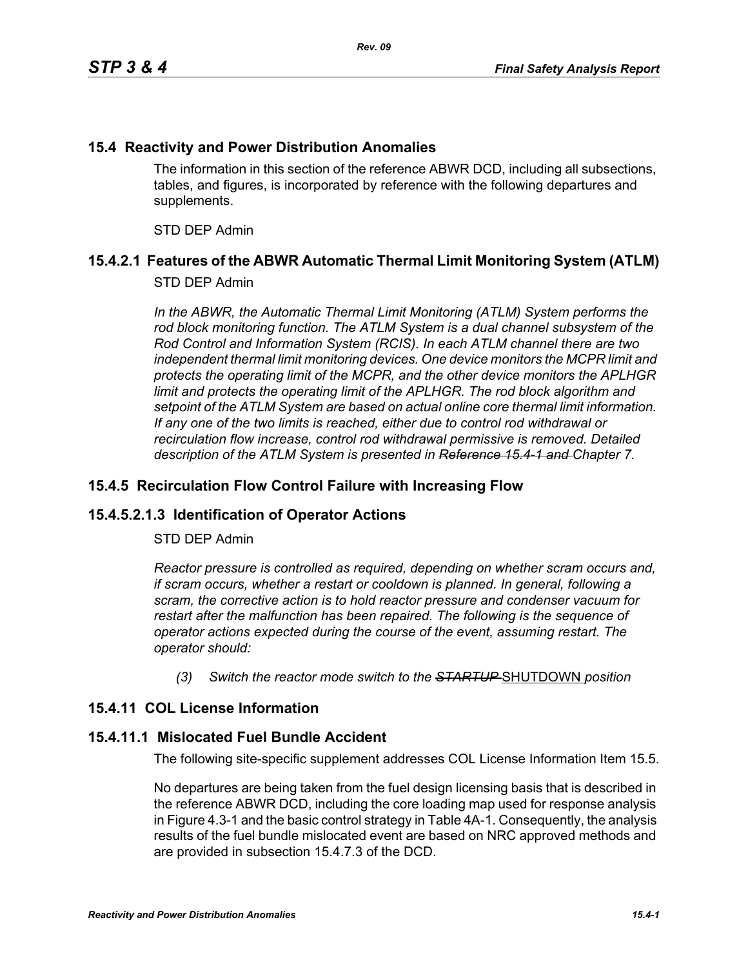### **15.4 Reactivity and Power Distribution Anomalies**

The information in this section of the reference ABWR DCD, including all subsections, tables, and figures, is incorporated by reference with the following departures and supplements.

STD DEP Admin

# **15.4.2.1 Features of the ABWR Automatic Thermal Limit Monitoring System (ATLM)**

### STD DEP Admin

In the ABWR, the Automatic Thermal Limit Monitoring (ATLM) System performs the *rod block monitoring function. The ATLM System is a dual channel subsystem of the Rod Control and Information System (RCIS). In each ATLM channel there are two independent thermal limit monitoring devices. One device monitors the MCPR limit and protects the operating limit of the MCPR, and the other device monitors the APLHGR*  limit and protects the operating limit of the APLHGR. The rod block algorithm and *setpoint of the ATLM System are based on actual online core thermal limit information. If any one of the two limits is reached, either due to control rod withdrawal or recirculation flow increase, control rod withdrawal permissive is removed. Detailed description of the ATLM System is presented in Reference 15.4-1 and Chapter 7.*

#### **15.4.5 Recirculation Flow Control Failure with Increasing Flow**

# **15.4.5.2.1.3 Identification of Operator Actions**

#### STD DEP Admin

*Reactor pressure is controlled as required, depending on whether scram occurs and, if scram occurs, whether a restart or cooldown is planned. In general, following a scram, the corrective action is to hold reactor pressure and condenser vacuum for restart after the malfunction has been repaired. The following is the sequence of operator actions expected during the course of the event, assuming restart. The operator should:*

*(3) Switch the reactor mode switch to the STARTUP* SHUTDOWN *position*

# **15.4.11 COL License Information**

#### **15.4.11.1 Mislocated Fuel Bundle Accident**

The following site-specific supplement addresses COL License Information Item 15.5.

No departures are being taken from the fuel design licensing basis that is described in the reference ABWR DCD, including the core loading map used for response analysis in Figure 4.3-1 and the basic control strategy in Table 4A-1. Consequently, the analysis results of the fuel bundle mislocated event are based on NRC approved methods and are provided in subsection 15.4.7.3 of the DCD.